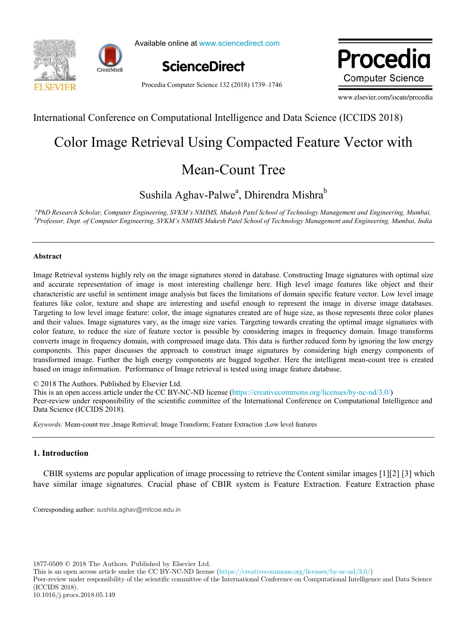# ScienceDirect ScienceDirect

Available online at www.sciencedirect.com





**ScienceDirect**

Procedia Computer Science 132 (2018) 1739–1746

Procedia **Computer Science** 

www.elsevier.com/locate/procedia

# International Conference on Computational Intelligence and Data Science (ICCIDS 2018)

# Color Image Retrieval Using Compacted Feature Vector with Mean-Count Tree

# Sushila Aghav-Palwe<sup>a</sup>, Dhirendra Mishra<sup>b</sup>

*PhD Research Scholar, Computer Engineering, SVKM's NM <sup>a</sup>PhD Research Scholar, Computer Engineering, SVKM's NMIMS, Mukesh Patel School of Technology Management and Engineering, Mumbai,*  <sup>b</sup>Professor, Dept. of Computer Engineering, SVKM's NMIMS Mukesh Patel School of Technology Management and Engineering, Mumbai, India

## **Abstract**

Image Retrieval systems highly rely on the image signatures stored in database. Constructing Image signatures with optimal size and accurate representation of image is most interesting challenge here. High level image features like object and their characteristic are useful in sentiment image analysis but faces the limitations of domain specific feature vector. Low level image features like color, texture and shape are interesting and useful enough to represent the image in diverse image databases. Targeting to low level image feature: color, the image signatures created are of huge size, as those represents three color planes and their values. Image signatures vary, as the image size varies. Targeting towards creating the optimal image signatures with color feature, to reduce the size of feature vector is possible by considering images in frequency domain. Image transforms converts image in frequency domain, with compressed image data. This data is further reduced form by ignoring the low energy components. This paper discusses the approach to construct image signatures by considering high energy components of transformed image. Further the high energy components are bagged together. Here the intelligent mean-count tree is created based on image information. Performance of Image retrieval is tested using image feature database.

© 2018 The Authors. Published by Elsevier Ltd.

This is an open access article under the CC BY-NC-ND license (https://creativecommons.org/licenses/by-nc-nd/3.0/) Peer-review under responsibility of the scientific committee of the International Conference on Computational Intelligence and Data Science (ICCIDS 2018).

*Keywords:* Mean-count tree ,Image Retrieval; Image Transform; Feature Extraction ;Low level features

## **1. Introduction**

CBIR systems are popular application of image processing to retrieve the Content similar images [1][2] [3] which have similar image signatures. Crucial phase of CBIR system is Feature Extraction. Feature Extraction phase

Corresponding author: sushila.aghav@mitcoe.edu.in

1877-0509 © 2018 The Authors. Published by Elsevier Ltd.

This is an open access article under the CC BY-NC-ND license (https://creativecommons.org/licenses/by-nc-nd/3.0/)

Peer-review under responsibility of the scientific committee of the International Conference on Computational Intelligence and Data Science (ICCIDS 2018).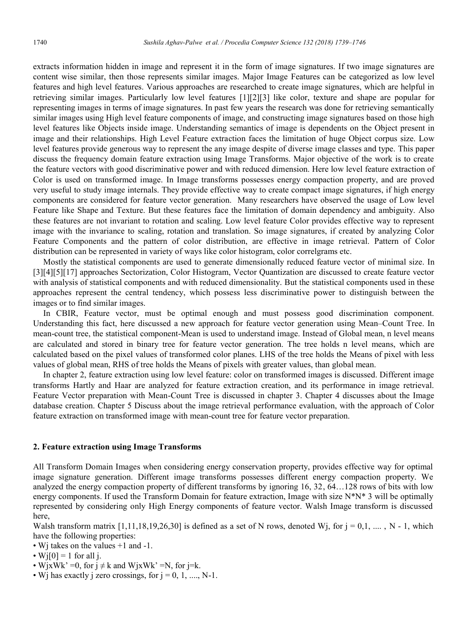extracts information hidden in image and represent it in the form of image signatures. If two image signatures are content wise similar, then those represents similar images. Major Image Features can be categorized as low level features and high level features. Various approaches are researched to create image signatures, which are helpful in retrieving similar images. Particularly low level features [1][2][3] like color, texture and shape are popular for representing images in terms of image signatures. In past few years the research was done for retrieving semantically similar images using High level feature components of image, and constructing image signatures based on those high level features like Objects inside image. Understanding semantics of image is dependents on the Object present in image and their relationships. High Level Feature extraction faces the limitation of huge Object corpus size. Low level features provide generous way to represent the any image despite of diverse image classes and type. This paper discuss the frequency domain feature extraction using Image Transforms. Major objective of the work is to create the feature vectors with good discriminative power and with reduced dimension. Here low level feature extraction of Color is used on transformed image. In Image transforms possesses energy compaction property, and are proved very useful to study image internals. They provide effective way to create compact image signatures, if high energy components are considered for feature vector generation. Many researchers have observed the usage of Low level Feature like Shape and Texture. But these features face the limitation of domain dependency and ambiguity. Also these features are not invariant to rotation and scaling. Low level feature Color provides effective way to represent image with the invariance to scaling, rotation and translation. So image signatures, if created by analyzing Color Feature Components and the pattern of color distribution, are effective in image retrieval. Pattern of Color distribution can be represented in variety of ways like color histogram, color correlgrams etc.

Mostly the statistical components are used to generate dimensionally reduced feature vector of minimal size. In [3][4][5][17] approaches Sectorization, Color Histogram, Vector Quantization are discussed to create feature vector with analysis of statistical components and with reduced dimensionality. But the statistical components used in these approaches represent the central tendency, which possess less discriminative power to distinguish between the images or to find similar images.

In CBIR, Feature vector, must be optimal enough and must possess good discrimination component. Understanding this fact, here discussed a new approach for feature vector generation using Mean–Count Tree. In mean-count tree, the statistical component-Mean is used to understand image. Instead of Global mean, n level means are calculated and stored in binary tree for feature vector generation. The tree holds n level means, which are calculated based on the pixel values of transformed color planes. LHS of the tree holds the Means of pixel with less values of global mean, RHS of tree holds the Means of pixels with greater values, than global mean.

In chapter 2, feature extraction using low level feature: color on transformed images is discussed. Different image transforms Hartly and Haar are analyzed for feature extraction creation, and its performance in image retrieval. Feature Vector preparation with Mean-Count Tree is discussed in chapter 3. Chapter 4 discusses about the Image database creation. Chapter 5 Discuss about the image retrieval performance evaluation, with the approach of Color feature extraction on transformed image with mean-count tree for feature vector preparation.

#### **2. Feature extraction using Image Transforms**

All Transform Domain Images when considering energy conservation property, provides effective way for optimal image signature generation. Different image transforms possesses different energy compaction property. We analyzed the energy compaction property of different transforms by ignoring 16, 32, 64…128 rows of bits with low energy components. If used the Transform Domain for feature extraction, Image with size  $N*N*3$  will be optimally represented by considering only High Energy components of feature vector. Walsh Image transform is discussed here,

Walsh transform matrix [1,11,18,19,26,30] is defined as a set of N rows, denoted Wj, for  $j = 0, 1, \ldots, N - 1$ , which have the following properties:

- Wj takes on the values +1 and -1.
- Wj[0] = 1 for all j.
- WjxWk' =0, for  $j \neq k$  and WjxWk' =N, for j=k.
- Wj has exactly j zero crossings, for  $j = 0, 1, ..., N-1$ .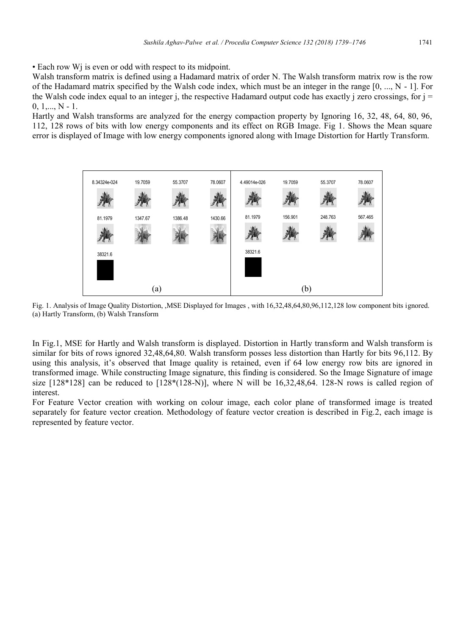• Each row Wj is even or odd with respect to its midpoint.

Walsh transform matrix is defined using a Hadamard matrix of order N. The Walsh transform matrix row is the row of the Hadamard matrix specified by the Walsh code index, which must be an integer in the range  $[0, \dots, N - 1]$ . For the Walsh code index equal to an integer j, the respective Hadamard output code has exactly j zero crossings, for  $j =$  $0, 1, \ldots, N - 1$ .

Hartly and Walsh transforms are analyzed for the energy compaction property by Ignoring 16, 32, 48, 64, 80, 96, 112, 128 rows of bits with low energy components and its effect on RGB Image. Fig 1. Shows the Mean square error is displayed of Image with low energy components ignored along with Image Distortion for Hartly Transform.



Fig. 1. Analysis of Image Quality Distortion, ,MSE Displayed for Images , with 16,32,48,64,80,96,112,128 low component bits ignored. (a) Hartly Transform, (b) Walsh Transform

In Fig.1, MSE for Hartly and Walsh transform is displayed. Distortion in Hartly transform and Walsh transform is similar for bits of rows ignored 32,48,64,80. Walsh transform posses less distortion than Hartly for bits 96,112. By using this analysis, it's observed that Image quality is retained, even if 64 low energy row bits are ignored in transformed image. While constructing Image signature, this finding is considered. So the Image Signature of image size  $[128*128]$  can be reduced to  $[128*(128-N)]$ , where N will be  $16,32,48,64$ . 128-N rows is called region of interest.

For Feature Vector creation with working on colour image, each color plane of transformed image is treated separately for feature vector creation. Methodology of feature vector creation is described in Fig.2, each image is represented by feature vector.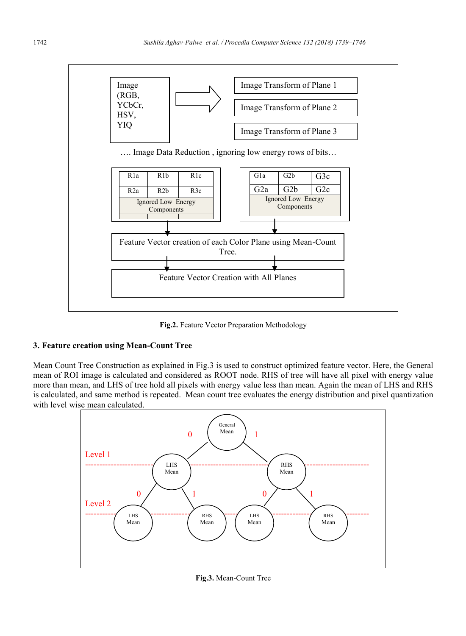

**Fig.2.** Feature Vector Preparation Methodology

# **3. Feature creation using Mean-Count Tree**

Mean Count Tree Construction as explained in Fig.3 is used to construct optimized feature vector. Here, the General mean of ROI image is calculated and considered as ROOT node. RHS of tree will have all pixel with energy value more than mean, and LHS of tree hold all pixels with energy value less than mean. Again the mean of LHS and RHS is calculated, and same method is repeated. Mean count tree evaluates the energy distribution and pixel quantization with level wise mean calculated.



**Fig.3.** Mean-Count Tree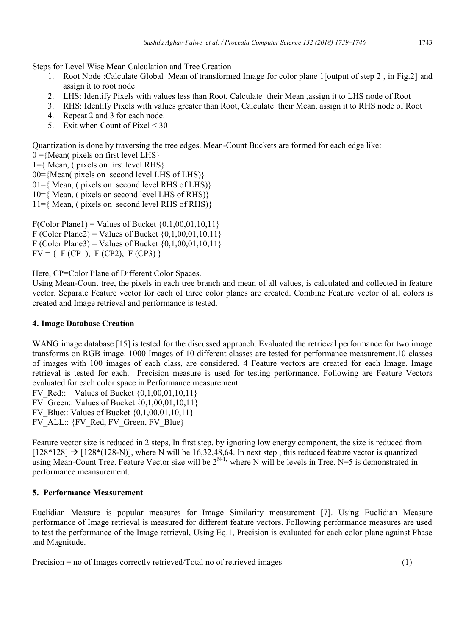Steps for Level Wise Mean Calculation and Tree Creation

- 1. Root Node :Calculate Global Mean of transformed Image for color plane 1[output of step 2 , in Fig.2] and assign it to root node
- 2. LHS: Identify Pixels with values less than Root, Calculate their Mean ,assign it to LHS node of Root
- 3. RHS: Identify Pixels with values greater than Root, Calculate their Mean, assign it to RHS node of Root
- 4. Repeat 2 and 3 for each node.
- 5. Exit when Count of Pixel < 30

Quantization is done by traversing the tree edges. Mean-Count Buckets are formed for each edge like:

- $0 = \{Mean(jixels on first level LHS)\}$
- $1=\{$  Mean, ( pixels on first level RHS $\}$
- 00={Mean( pixels on second level LHS of LHS)}
- $01 = \{$  Mean, ( pixels on second level RHS of LHS) $\}$
- 10={ Mean, ( pixels on second level LHS of RHS)}
- $11=\{$  Mean, ( pixels on second level RHS of RHS) $\}$

 $F(Color Plane1) = Values of Bucket {0,1,00,01,10,11}$ F (Color Plane2) = Values of Bucket  $\{0, 1, 00, 01, 10, 11\}$ F (Color Plane3) = Values of Bucket  $\{0, 1, 00, 01, 10, 11\}$  $FV = \{ F (CP1), F (CP2), F (CP3) \}$ 

Here, CP=Color Plane of Different Color Spaces.

Using Mean-Count tree, the pixels in each tree branch and mean of all values, is calculated and collected in feature vector. Separate Feature vector for each of three color planes are created. Combine Feature vector of all colors is created and Image retrieval and performance is tested.

# **4. Image Database Creation**

WANG image database [15] is tested for the discussed approach. Evaluated the retrieval performance for two image transforms on RGB image. 1000 Images of 10 different classes are tested for performance measurement.10 classes of images with 100 images of each class, are considered. 4 Feature vectors are created for each Image. Image retrieval is tested for each. Precision measure is used for testing performance. Following are Feature Vectors evaluated for each color space in Performance measurement.

FV Red:: Values of Bucket  ${0,1,00,01,10,11}$ 

- FV\_Green:: Values of Bucket {0,1,00,01,10,11}
- FV Blue:: Values of Bucket  ${0,1,00,01,10,11}$
- FV\_ALL:: {FV\_Red, FV\_Green, FV\_Blue}

Feature vector size is reduced in 2 steps, In first step, by ignoring low energy component, the size is reduced from  $[128*128]$   $\rightarrow$   $[128*(128-N)]$ , where N will be 16,32,48,64. In next step, this reduced feature vector is quantized using Mean-Count Tree. Feature Vector size will be  $2^{N-1}$ , where N will be levels in Tree. N=5 is demonstrated in performance meansurement.

# **5. Performance Measurement**

Euclidian Measure is popular measures for Image Similarity measurement [7]. Using Euclidian Measure performance of Image retrieval is measured for different feature vectors. Following performance measures are used to test the performance of the Image retrieval, Using Eq.1, Precision is evaluated for each color plane against Phase and Magnitude.

Precision = no of Images correctly retrieved/Total no of retrieved images (1)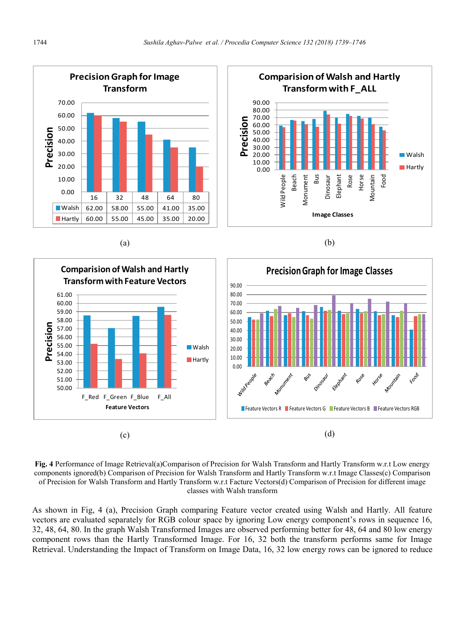





(b)



**Fig. 4** Performance of Image Retrieval(a)Comparison of Precision for Walsh Transform and Hartly Transform w.r.t Low energy components ignored(b) Comparison of Precision for Walsh Transform and Hartly Transform w.r.t Image Classes(c) Comparison of Precision for Walsh Transform and Hartly Transform w.r.t Facture Vectors(d) Comparison of Precision for different image classes with Walsh transform

As shown in Fig, 4 (a), Precision Graph comparing Feature vector created using Walsh and Hartly. All feature vectors are evaluated separately for RGB colour space by ignoring Low energy component's rows in sequence 16, 32, 48, 64, 80. In the graph Walsh Transformed Images are observed performing better for 48, 64 and 80 low energy component rows than the Hartly Transformed Image. For 16, 32 both the transform performs same for Image Retrieval. Understanding the Impact of Transform on Image Data, 16, 32 low energy rows can be ignored to reduce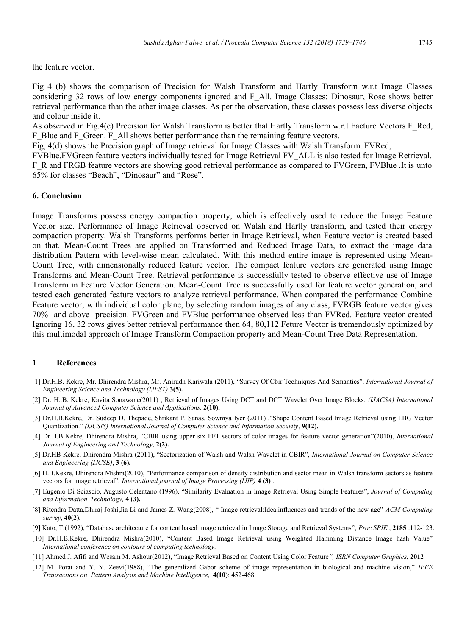the feature vector.

Fig 4 (b) shows the comparison of Precision for Walsh Transform and Hartly Transform w.r.t Image Classes considering 32 rows of low energy components ignored and F\_All. Image Classes: Dinosaur, Rose shows better retrieval performance than the other image classes. As per the observation, these classes possess less diverse objects and colour inside it.

As observed in Fig.4(c) Precision for Walsh Transform is better that Hartly Transform w.r.t Facture Vectors F\_Red, F\_Blue and F\_Green. F\_All shows better performance than the remaining feature vectors.

Fig, 4(d) shows the Precision graph of Image retrieval for Image Classes with Walsh Transform. FVRed,

FVBlue,FVGreen feature vectors individually tested for Image Retrieval FV\_ALL is also tested for Image Retrieval. F\_R and FRGB feature vectors are showing good retrieval performance as compared to FVGreen, FVBlue .It is unto 65% for classes "Beach", "Dinosaur" and "Rose".

## **6. Conclusion**

Image Transforms possess energy compaction property, which is effectively used to reduce the Image Feature Vector size. Performance of Image Retrieval observed on Walsh and Hartly transform, and tested their energy compaction property. Walsh Transforms performs better in Image Retrieval, when Feature vector is created based on that. Mean-Count Trees are applied on Transformed and Reduced Image Data, to extract the image data distribution Pattern with level-wise mean calculated. With this method entire image is represented using Mean-Count Tree, with dimensionally reduced feature vector. The compact feature vectors are generated using Image Transforms and Mean-Count Tree. Retrieval performance is successfully tested to observe effective use of Image Transform in Feature Vector Generation. Mean-Count Tree is successfully used for feature vector generation, and tested each generated feature vectors to analyze retrieval performance. When compared the performance Combine Feature vector, with individual color plane, by selecting random images of any class, FVRGB feature vector gives 70% and above precision. FVGreen and FVBlue performance observed less than FVRed. Feature vector created Ignoring 16, 32 rows gives better retrieval performance then 64, 80,112.Feture Vector is tremendously optimized by this multimodal approach of Image Transform Compaction property and Mean-Count Tree Data Representation.

### **1 References**

- [1] Dr.H.B. Kekre, Mr. Dhirendra Mishra, Mr. Anirudh Kariwala (2011), "Survey Of Cbir Techniques And Semantics". *International Journal of Engineering Science and Technology (IJEST)* **3(5).**
- [2] Dr. H..B. Kekre, Kavita Sonawane(2011) , Retrieval of Images Using DCT and DCT Wavelet Over Image Blocks*. (IJACSA) International Journal of Advanced Computer Science and Applications,* **2(10).**
- [3] Dr.H.B.Kekre, Dr. Sudeep D. Thepade, Shrikant P. Sanas, Sowmya Iyer (2011) ,"Shape Content Based Image Retrieval using LBG Vector Quantization." *(IJCSIS) International Journal of Computer Science and Information Security*, **9(12).**
- [4] Dr.H.B Kekre, Dhirendra Mishra, "CBIR using upper six FFT sectors of color images for feature vector generation"(2010), *International Journal of Engineering and Technology*, **2(2).**
- [5] Dr.HB Kekre, Dhirendra Mishra (2011), "Sectorization of Walsh and Walsh Wavelet in CBIR", *International Journal on Computer Science and Engineering (IJCSE)*, **3 (6).**
- [6] H.B.Kekre, Dhirendra Mishra(2010), "Performance comparison of density distribution and sector mean in Walsh transform sectors as feature vectors for image retrieval", *International journal of Image Processing (IJIP)* **4 (3)** .
- [7] Eugenio Di Sciascio, Augusto Celentano (1996), "Similarity Evaluation in Image Retrieval Using Simple Features", *Journal of Computing and Information Technology,* **4 (3).**
- [8] Ritendra Datta,Dhiraj Joshi,Jia Li and James Z. Wang(2008), " Image retrieval:Idea,influences and trends of the new age" *ACM Computing survey*, **40(2).**
- [9] Kato, T.(1992), "Database architecture for content based image retrieval in Image Storage and Retrieval Systems", *Proc SPIE* , **2185** :112-123.
- [10] Dr.H.B.Kekre, Dhirendra Mishra(2010), "Content Based Image Retrieval using Weighted Hamming Distance Image hash Value" *International conference on contours of computing technology.*
- [11] Ahmed J. Afifi and Wesam M. Ashour(2012), "Image Retrieval Based on Content Using Color Feature*", ISRN Computer Graphics*, **2012**
- [12] M. Porat and Y. Y. Zeevi(1988), "The generalized Gabor scheme of image representation in biological and machine vision," *IEEE Transactions on Pattern Analysis and Machine Intelligence*, **4(10)**: 452-468